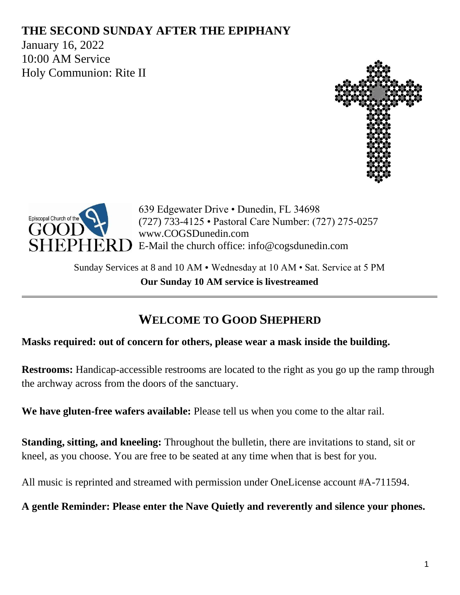# **THE SECOND SUNDAY AFTER THE EPIPHANY**

January 16, 2022 10:00 AM Service Holy Communion: Rite II





639 Edgewater Drive • Dunedin, FL 34698 (727) 733-4125 • Pastoral Care Number: (727) 275-0257 www.COGSDunedin.com E-Mail the church office: info@cogsdunedin.com

Sunday Services at 8 and 10 AM • Wednesday at 10 AM • Sat. Service at 5 PM **Our Sunday 10 AM service is livestreamed**

# **WELCOME TO GOOD SHEPHERD**

## **Masks required: out of concern for others, please wear a mask inside the building.**

**Restrooms:** Handicap-accessible restrooms are located to the right as you go up the ramp through the archway across from the doors of the sanctuary.

**We have gluten-free wafers available:** Please tell us when you come to the altar rail.

**Standing, sitting, and kneeling:** Throughout the bulletin, there are invitations to stand, sit or kneel, as you choose. You are free to be seated at any time when that is best for you.

All music is reprinted and streamed with permission under OneLicense account #A-711594.

**A gentle Reminder: Please enter the Nave Quietly and reverently and silence your phones.**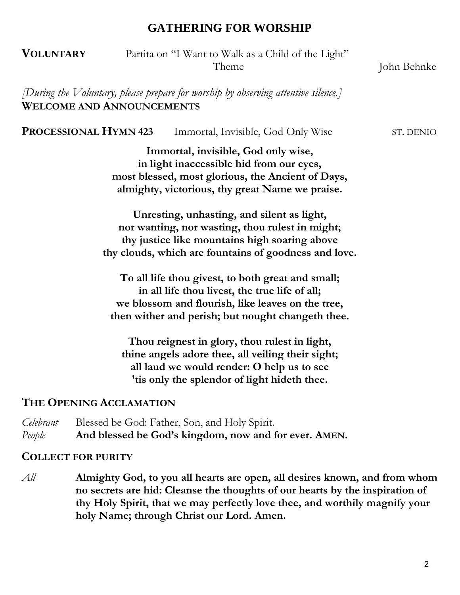### **GATHERING FOR WORSHIP**

**VOLUNTARY** Partita on "I Want to Walk as a Child of the Light" Theme John Behnke

*[During the Voluntary, please prepare for worship by observing attentive silence.]* **WELCOME AND ANNOUNCEMENTS**

**PROCESSIONAL HYMN 423** Immortal, Invisible, God Only Wise ST. DENIO

**Immortal, invisible, God only wise, in light inaccessible hid from our eyes, most blessed, most glorious, the Ancient of Days, almighty, victorious, thy great Name we praise.** 

**Unresting, unhasting, and silent as light, nor wanting, nor wasting, thou rulest in might; thy justice like mountains high soaring above thy clouds, which are fountains of goodness and love.** 

**To all life thou givest, to both great and small; in all life thou livest, the true life of all; we blossom and flourish, like leaves on the tree, then wither and perish; but nought changeth thee.**

**Thou reignest in glory, thou rulest in light, thine angels adore thee, all veiling their sight; all laud we would render: O help us to see 'tis only the splendor of light hideth thee.**

# **THE OPENING ACCLAMATION**

*Celebrant* Blessed be God: Father, Son, and Holy Spirit. *People* **And blessed be God's kingdom, now and for ever. AMEN.**

#### **COLLECT FOR PURITY**

*All* **Almighty God, to you all hearts are open, all desires known, and from whom no secrets are hid: Cleanse the thoughts of our hearts by the inspiration of thy Holy Spirit, that we may perfectly love thee, and worthily magnify your holy Name; through Christ our Lord. Amen.**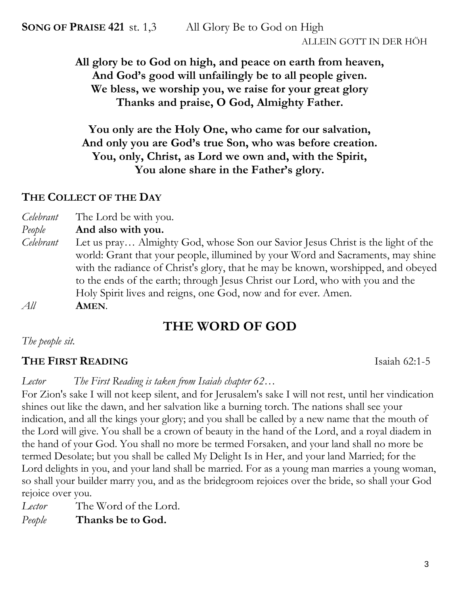**All glory be to God on high, and peace on earth from heaven, And God's good will unfailingly be to all people given. We bless, we worship you, we raise for your great glory Thanks and praise, O God, Almighty Father.**

**You only are the Holy One, who came for our salvation, And only you are God's true Son, who was before creation. You, only, Christ, as Lord we own and, with the Spirit, You alone share in the Father's glory.**

## **THE COLLECT OF THE DAY**

*Celebrant* The Lord be with you.

*People* **And also with you.**

- *Celebrant* Let us pray… Almighty God, whose Son our Savior Jesus Christ is the light of the world: Grant that your people, illumined by your Word and Sacraments, may shine with the radiance of Christ's glory, that he may be known, worshipped, and obeyed to the ends of the earth; through Jesus Christ our Lord, who with you and the Holy Spirit lives and reigns, one God, now and for ever. Amen.
- *All* **AMEN**.

# **THE WORD OF GOD**

*The people sit.*

## **THE FIRST READING** Isaiah 62:1-5

*Lector The First Reading is taken from Isaiah chapter 62…*

For Zion's sake I will not keep silent, and for Jerusalem's sake I will not rest, until her vindication shines out like the dawn, and her salvation like a burning torch. The nations shall see your indication, and all the kings your glory; and you shall be called by a new name that the mouth of the Lord will give. You shall be a crown of beauty in the hand of the Lord, and a royal diadem in the hand of your God. You shall no more be termed Forsaken, and your land shall no more be termed Desolate; but you shall be called My Delight Is in Her, and your land Married; for the Lord delights in you, and your land shall be married. For as a young man marries a young woman, so shall your builder marry you, and as the bridegroom rejoices over the bride, so shall your God rejoice over you.

*Lector* The Word of the Lord.

*People* **Thanks be to God.**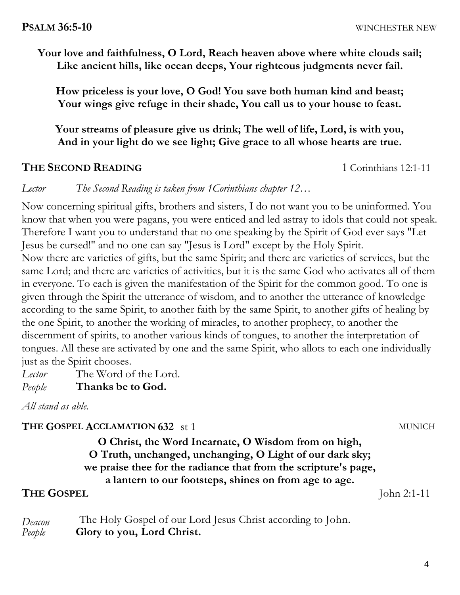**Your love and faithfulness, O Lord, Reach heaven above where white clouds sail; Like ancient hills, like ocean deeps, Your righteous judgments never fail.**

**How priceless is your love, O God! You save both human kind and beast; Your wings give refuge in their shade, You call us to your house to feast.**

**Your streams of pleasure give us drink; The well of life, Lord, is with you, And in your light do we see light; Give grace to all whose hearts are true.**

#### **THE SECOND READING** 1 Corinthians 12:1-11

*Lector The Second Reading is taken from 1Corinthians chapter 12…*

Now concerning spiritual gifts, brothers and sisters, I do not want you to be uninformed. You know that when you were pagans, you were enticed and led astray to idols that could not speak. Therefore I want you to understand that no one speaking by the Spirit of God ever says "Let Jesus be cursed!" and no one can say "Jesus is Lord" except by the Holy Spirit. Now there are varieties of gifts, but the same Spirit; and there are varieties of services, but the same Lord; and there are varieties of activities, but it is the same God who activates all of them in everyone. To each is given the manifestation of the Spirit for the common good. To one is given through the Spirit the utterance of wisdom, and to another the utterance of knowledge according to the same Spirit, to another faith by the same Spirit, to another gifts of healing by the one Spirit, to another the working of miracles, to another prophecy, to another the discernment of spirits, to another various kinds of tongues, to another the interpretation of tongues. All these are activated by one and the same Spirit, who allots to each one individually just as the Spirit chooses.

*Lector* The Word of the Lord.

*People* **Thanks be to God.**

*All stand as able.*

```
THE GOSPEL ACCLAMATION 632 st 1 MUNICH
```
#### **O Christ, the Word Incarnate, O Wisdom from on high, O Truth, unchanged, unchanging, O Light of our dark sky; we praise thee for the radiance that from the scripture's page, a lantern to our footsteps, shines on from age to age.**

# **THE GOSPEL** John 2:1-11

*Deacon* The Holy Gospel of our Lord Jesus Christ according to John. *People* **Glory to you, Lord Christ.**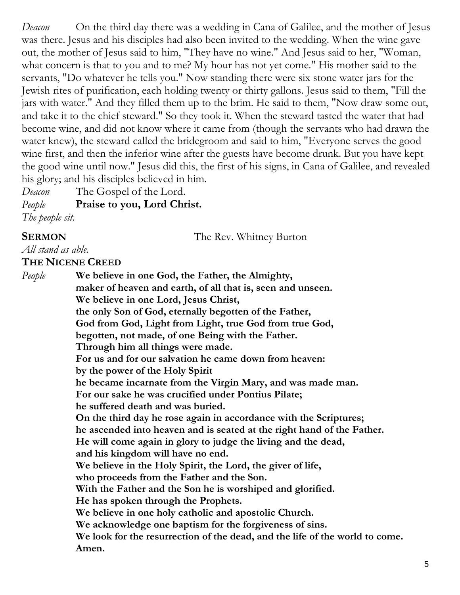*Deacon* On the third day there was a wedding in Cana of Galilee, and the mother of Jesus was there. Jesus and his disciples had also been invited to the wedding. When the wine gave out, the mother of Jesus said to him, "They have no wine." And Jesus said to her, "Woman, what concern is that to you and to me? My hour has not yet come." His mother said to the servants, "Do whatever he tells you." Now standing there were six stone water jars for the Jewish rites of purification, each holding twenty or thirty gallons. Jesus said to them, "Fill the jars with water." And they filled them up to the brim. He said to them, "Now draw some out, and take it to the chief steward." So they took it. When the steward tasted the water that had become wine, and did not know where it came from (though the servants who had drawn the water knew), the steward called the bridegroom and said to him, "Everyone serves the good wine first, and then the inferior wine after the guests have become drunk. But you have kept the good wine until now." Jesus did this, the first of his signs, in Cana of Galilee, and revealed his glory; and his disciples believed in him.

*Deacon* The Gospel of the Lord.

*People* **Praise to you, Lord Christ.**

*The people sit.*

**SERMON** The Rev. Whitney Burton

*All stand as able.*

#### **THE NICENE CREED**

*People* **We believe in one God, the Father, the Almighty, maker of heaven and earth, of all that is, seen and unseen. We believe in one Lord, Jesus Christ, the only Son of God, eternally begotten of the Father, God from God, Light from Light, true God from true God, begotten, not made, of one Being with the Father. Through him all things were made. For us and for our salvation he came down from heaven: by the power of the Holy Spirit he became incarnate from the Virgin Mary, and was made man. For our sake he was crucified under Pontius Pilate; he suffered death and was buried. On the third day he rose again in accordance with the Scriptures; he ascended into heaven and is seated at the right hand of the Father. He will come again in glory to judge the living and the dead, and his kingdom will have no end. We believe in the Holy Spirit, the Lord, the giver of life, who proceeds from the Father and the Son. With the Father and the Son he is worshiped and glorified. He has spoken through the Prophets. We believe in one holy catholic and apostolic Church. We acknowledge one baptism for the forgiveness of sins. We look for the resurrection of the dead, and the life of the world to come. Amen.**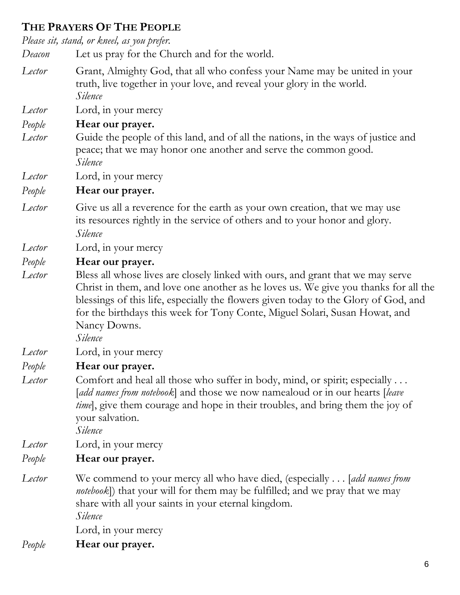# **THE PRAYERS OF THE PEOPLE**

*Please sit, stand, or kneel, as you prefer.*

*Deacon* Let us pray for the Church and for the world.

*Lector* Grant, Almighty God, that all who confess your Name may be united in your truth, live together in your love, and reveal your glory in the world. *Silence*

*Lector* Lord, in your mercy

### *People* **Hear our prayer.**

*Lector* Guide the people of this land, and of all the nations, in the ways of justice and peace; that we may honor one another and serve the common good. *Silence*

*Lector* Lord, in your mercy

#### *People* **Hear our prayer.**

- *Lector* Give us all a reverence for the earth as your own creation, that we may use its resources rightly in the service of others and to your honor and glory. *Silence*
- *Lector* Lord, in your mercy

#### *People* **Hear our prayer.**

*Lector* Bless all whose lives are closely linked with ours, and grant that we may serve Christ in them, and love one another as he loves us. We give you thanks for all the blessings of this life, especially the flowers given today to the Glory of God, and for the birthdays this week for Tony Conte, Miguel Solari, Susan Howat, and Nancy Downs.

*Silence*

*Lector* Lord, in your mercy

*People* **Hear our prayer.**

*Lector* Comfort and heal all those who suffer in body, mind, or spirit; especially ... [*add names from notebook*] and those we now namealoud or in our hearts [*leave time*, give them courage and hope in their troubles, and bring them the joy of your salvation.

*Silence*

- *Lector* Lord, in your mercy
- *People* **Hear our prayer.**
- *Lector* We commend to your mercy all who have died, (especially . . . [*add names from notebook*]) that your will for them may be fulfilled; and we pray that we may share with all your saints in your eternal kingdom. *Silence* Lord, in your mercy
- *People* **Hear our prayer.**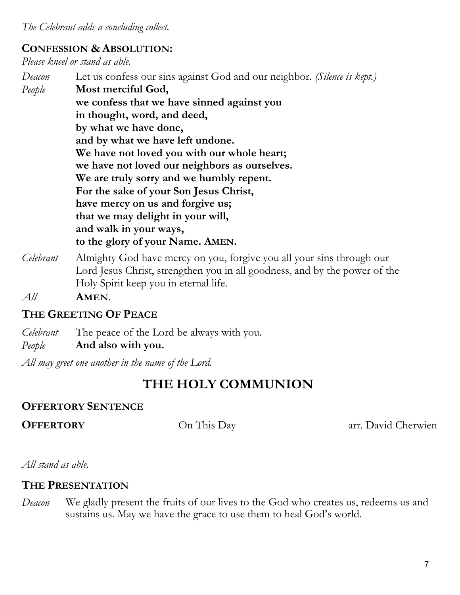### **CONFESSION & ABSOLUTION:**

*Please kneel or stand as able.*

- *Deacon* Let us confess our sins against God and our neighbor. *(Silence is kept.) People* **Most merciful God, we confess that we have sinned against you in thought, word, and deed, by what we have done, and by what we have left undone. We have not loved you with our whole heart; we have not loved our neighbors as ourselves. We are truly sorry and we humbly repent. For the sake of your Son Jesus Christ, have mercy on us and forgive us; that we may delight in your will, and walk in your ways, to the glory of your Name. AMEN.** *Celebrant* Almighty God have mercy on you, forgive you all your sins through our Lord Jesus Christ, strengthen you in all goodness, and by the power of the Holy Spirit keep you in eternal life.
- *All* **AMEN**.

## **THE GREETING OF PEACE**

*Celebrant* The peace of the Lord be always with you.

#### *People* **And also with you.**

*All may greet one another in the name of the Lord.*

# **THE HOLY COMMUNION**

#### **OFFERTORY SENTENCE**

**OFFERTORY** On This Day arr. David Cherwien

*All stand as able.*

#### **THE PRESENTATION**

*Deacon* We gladly present the fruits of our lives to the God who creates us, redeems us and sustains us. May we have the grace to use them to heal God's world.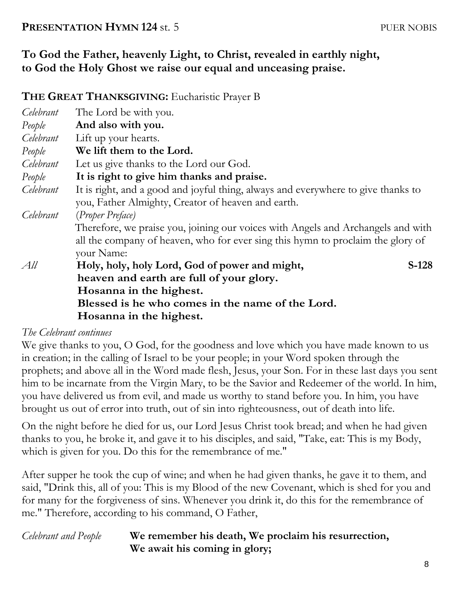# **To God the Father, heavenly Light, to Christ, revealed in earthly night, to God the Holy Ghost we raise our equal and unceasing praise.**

## **THE GREAT THANKSGIVING:** Eucharistic Prayer B

| The Lord be with you.                              |                                                                                                                                                                                                                                                          |
|----------------------------------------------------|----------------------------------------------------------------------------------------------------------------------------------------------------------------------------------------------------------------------------------------------------------|
| And also with you.                                 |                                                                                                                                                                                                                                                          |
| Lift up your hearts.                               |                                                                                                                                                                                                                                                          |
| We lift them to the Lord.                          |                                                                                                                                                                                                                                                          |
| Let us give thanks to the Lord our God.            |                                                                                                                                                                                                                                                          |
| It is right to give him thanks and praise.         |                                                                                                                                                                                                                                                          |
|                                                    |                                                                                                                                                                                                                                                          |
| you, Father Almighty, Creator of heaven and earth. |                                                                                                                                                                                                                                                          |
| (Proper Preface)                                   |                                                                                                                                                                                                                                                          |
|                                                    |                                                                                                                                                                                                                                                          |
|                                                    |                                                                                                                                                                                                                                                          |
| your Name:                                         |                                                                                                                                                                                                                                                          |
| Holy, holy, holy Lord, God of power and might,     | $S-128$                                                                                                                                                                                                                                                  |
| heaven and earth are full of your glory.           |                                                                                                                                                                                                                                                          |
| Hosanna in the highest.                            |                                                                                                                                                                                                                                                          |
| Blessed is he who comes in the name of the Lord.   |                                                                                                                                                                                                                                                          |
| Hosanna in the highest.                            |                                                                                                                                                                                                                                                          |
|                                                    | It is right, and a good and joyful thing, always and everywhere to give thanks to<br>Therefore, we praise you, joining our voices with Angels and Archangels and with<br>all the company of heaven, who for ever sing this hymn to proclaim the glory of |

#### *The Celebrant continues*

We give thanks to you, O God, for the goodness and love which you have made known to us in creation; in the calling of Israel to be your people; in your Word spoken through the prophets; and above all in the Word made flesh, Jesus, your Son. For in these last days you sent him to be incarnate from the Virgin Mary, to be the Savior and Redeemer of the world. In him, you have delivered us from evil, and made us worthy to stand before you. In him, you have brought us out of error into truth, out of sin into righteousness, out of death into life.

On the night before he died for us, our Lord Jesus Christ took bread; and when he had given thanks to you, he broke it, and gave it to his disciples, and said, "Take, eat: This is my Body, which is given for you. Do this for the remembrance of me."

After supper he took the cup of wine; and when he had given thanks, he gave it to them, and said, "Drink this, all of you: This is my Blood of the new Covenant, which is shed for you and for many for the forgiveness of sins. Whenever you drink it, do this for the remembrance of me." Therefore, according to his command, O Father,

*Celebrant and People* **We remember his death, We proclaim his resurrection, We await his coming in glory;**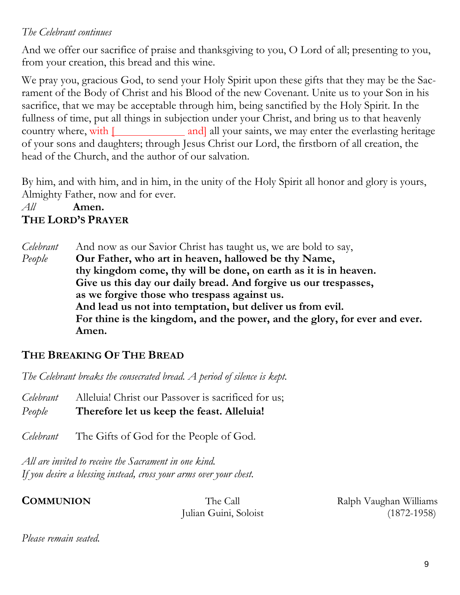## *The Celebrant continues*

And we offer our sacrifice of praise and thanksgiving to you, O Lord of all; presenting to you, from your creation, this bread and this wine.

We pray you, gracious God, to send your Holy Spirit upon these gifts that they may be the Sacrament of the Body of Christ and his Blood of the new Covenant. Unite us to your Son in his sacrifice, that we may be acceptable through him, being sanctified by the Holy Spirit. In the fullness of time, put all things in subjection under your Christ, and bring us to that heavenly country where, with  $\boxed{\phantom{a}}$  and all your saints, we may enter the everlasting heritage of your sons and daughters; through Jesus Christ our Lord, the firstborn of all creation, the head of the Church, and the author of our salvation.

By him, and with him, and in him, in the unity of the Holy Spirit all honor and glory is yours, Almighty Father, now and for ever.

*All* **Amen.** 

# **THE LORD'S PRAYER**

*Celebrant* And now as our Savior Christ has taught us, we are bold to say, *People* **Our Father, who art in heaven, hallowed be thy Name, thy kingdom come, thy will be done, on earth as it is in heaven. Give us this day our daily bread. And forgive us our trespasses, as we forgive those who trespass against us. And lead us not into temptation, but deliver us from evil. For thine is the kingdom, and the power, and the glory, for ever and ever. Amen.**

# **THE BREAKING OF THE BREAD**

*The Celebrant breaks the consecrated bread. A period of silence is kept.*

*Celebrant* Alleluia! Christ our Passover is sacrificed for us; *People* **Therefore let us keep the feast. Alleluia!**

*Celebrant* The Gifts of God for the People of God.

*All are invited to receive the Sacrament in one kind. If you desire a blessing instead, cross your arms over your chest.*

**COMMUNION** The Call Ralph Vaughan Williams Julian Guini, Soloist (1872-1958)

*Please remain seated.*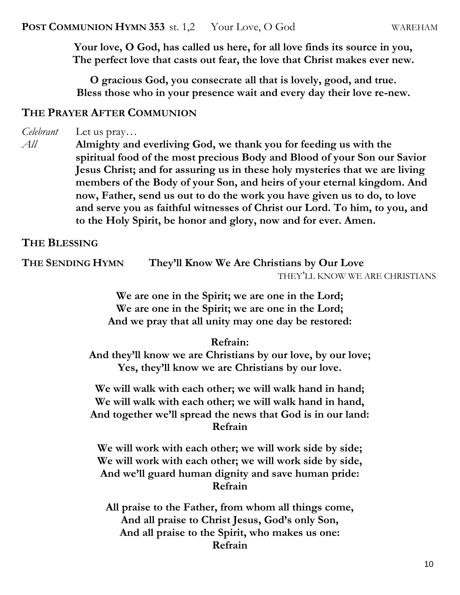**Your love, O God, has called us here, for all love finds its source in you, The perfect love that casts out fear, the love that Christ makes ever new.**

**O gracious God, you consecrate all that is lovely, good, and true. Bless those who in your presence wait and every day their love re-new.**

#### **THE PRAYER AFTER COMMUNION**

*Celebrant* Let us pray… *All* **Almighty and everliving God, we thank you for feeding us with the spiritual food of the most precious Body and Blood of your Son our Savior Jesus Christ; and for assuring us in these holy mysteries that we are living members of the Body of your Son, and heirs of your eternal kingdom. And now, Father, send us out to do the work you have given us to do, to love and serve you as faithful witnesses of Christ our Lord. To him, to you, and to the Holy Spirit, be honor and glory, now and for ever. Amen.**

#### **THE BLESSING**

**THE SENDING HYMN They'll Know We Are Christians by Our Love** THEY'LL KNOW WE ARE CHRISTIANS

> **We are one in the Spirit; we are one in the Lord; We are one in the Spirit; we are one in the Lord; And we pray that all unity may one day be restored:**

#### **Refrain:**

**And they'll know we are Christians by our love, by our love; Yes, they'll know we are Christians by our love.** 

**We will walk with each other; we will walk hand in hand; We will walk with each other; we will walk hand in hand, And together we'll spread the news that God is in our land: Refrain**

**We will work with each other; we will work side by side; We will work with each other; we will work side by side, And we'll guard human dignity and save human pride: Refrain**

**All praise to the Father, from whom all things come, And all praise to Christ Jesus, God's only Son, And all praise to the Spirit, who makes us one: Refrain**